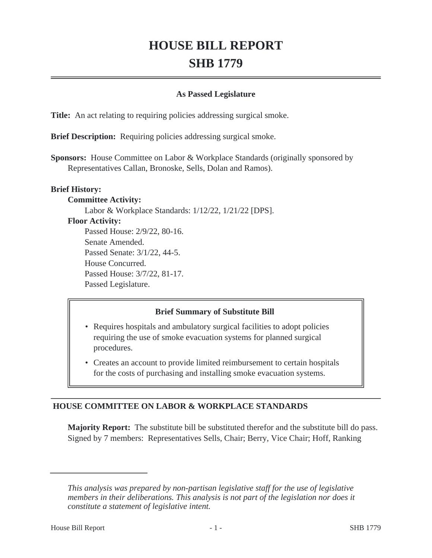# **HOUSE BILL REPORT SHB 1779**

## **As Passed Legislature**

**Title:** An act relating to requiring policies addressing surgical smoke.

**Brief Description:** Requiring policies addressing surgical smoke.

**Sponsors:** House Committee on Labor & Workplace Standards (originally sponsored by Representatives Callan, Bronoske, Sells, Dolan and Ramos).

## **Brief History:**

#### **Committee Activity:**

Labor & Workplace Standards: 1/12/22, 1/21/22 [DPS].

## **Floor Activity:**

Passed House: 2/9/22, 80-16. Senate Amended. Passed Senate: 3/1/22, 44-5. House Concurred. Passed House: 3/7/22, 81-17. Passed Legislature.

## **Brief Summary of Substitute Bill**

- Requires hospitals and ambulatory surgical facilities to adopt policies requiring the use of smoke evacuation systems for planned surgical procedures.
- Creates an account to provide limited reimbursement to certain hospitals for the costs of purchasing and installing smoke evacuation systems.

## **HOUSE COMMITTEE ON LABOR & WORKPLACE STANDARDS**

**Majority Report:** The substitute bill be substituted therefor and the substitute bill do pass. Signed by 7 members: Representatives Sells, Chair; Berry, Vice Chair; Hoff, Ranking

*This analysis was prepared by non-partisan legislative staff for the use of legislative members in their deliberations. This analysis is not part of the legislation nor does it constitute a statement of legislative intent.*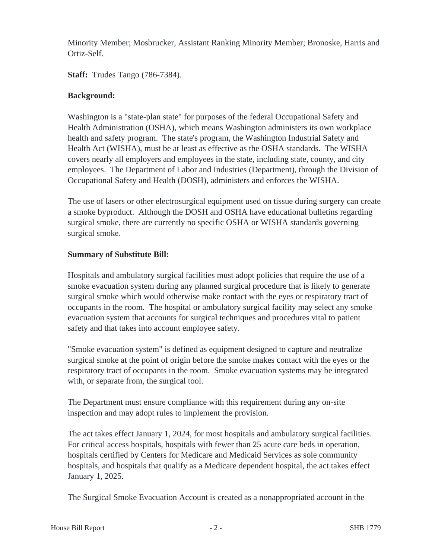Minority Member; Mosbrucker, Assistant Ranking Minority Member; Bronoske, Harris and Ortiz-Self.

**Staff:** Trudes Tango (786-7384).

## **Background:**

Washington is a "state-plan state" for purposes of the federal Occupational Safety and Health Administration (OSHA), which means Washington administers its own workplace health and safety program. The state's program, the Washington Industrial Safety and Health Act (WISHA), must be at least as effective as the OSHA standards. The WISHA covers nearly all employers and employees in the state, including state, county, and city employees. The Department of Labor and Industries (Department), through the Division of Occupational Safety and Health (DOSH), administers and enforces the WISHA.

The use of lasers or other electrosurgical equipment used on tissue during surgery can create a smoke byproduct. Although the DOSH and OSHA have educational bulletins regarding surgical smoke, there are currently no specific OSHA or WISHA standards governing surgical smoke.

## **Summary of Substitute Bill:**

Hospitals and ambulatory surgical facilities must adopt policies that require the use of a smoke evacuation system during any planned surgical procedure that is likely to generate surgical smoke which would otherwise make contact with the eyes or respiratory tract of occupants in the room. The hospital or ambulatory surgical facility may select any smoke evacuation system that accounts for surgical techniques and procedures vital to patient safety and that takes into account employee safety.

"Smoke evacuation system" is defined as equipment designed to capture and neutralize surgical smoke at the point of origin before the smoke makes contact with the eyes or the respiratory tract of occupants in the room. Smoke evacuation systems may be integrated with, or separate from, the surgical tool.

The Department must ensure compliance with this requirement during any on-site inspection and may adopt rules to implement the provision.

The act takes effect January 1, 2024, for most hospitals and ambulatory surgical facilities. For critical access hospitals, hospitals with fewer than 25 acute care beds in operation, hospitals certified by Centers for Medicare and Medicaid Services as sole community hospitals, and hospitals that qualify as a Medicare dependent hospital, the act takes effect January 1, 2025.

The Surgical Smoke Evacuation Account is created as a nonappropriated account in the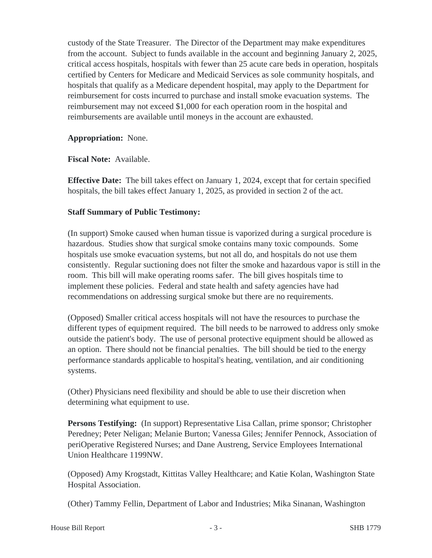custody of the State Treasurer. The Director of the Department may make expenditures from the account. Subject to funds available in the account and beginning January 2, 2025, critical access hospitals, hospitals with fewer than 25 acute care beds in operation, hospitals certified by Centers for Medicare and Medicaid Services as sole community hospitals, and hospitals that qualify as a Medicare dependent hospital, may apply to the Department for reimbursement for costs incurred to purchase and install smoke evacuation systems. The reimbursement may not exceed \$1,000 for each operation room in the hospital and reimbursements are available until moneys in the account are exhausted.

## **Appropriation:** None.

**Fiscal Note:** Available.

**Effective Date:** The bill takes effect on January 1, 2024, except that for certain specified hospitals, the bill takes effect January 1, 2025, as provided in section 2 of the act.

## **Staff Summary of Public Testimony:**

(In support) Smoke caused when human tissue is vaporized during a surgical procedure is hazardous. Studies show that surgical smoke contains many toxic compounds. Some hospitals use smoke evacuation systems, but not all do, and hospitals do not use them consistently. Regular suctioning does not filter the smoke and hazardous vapor is still in the room. This bill will make operating rooms safer. The bill gives hospitals time to implement these policies. Federal and state health and safety agencies have had recommendations on addressing surgical smoke but there are no requirements.

(Opposed) Smaller critical access hospitals will not have the resources to purchase the different types of equipment required. The bill needs to be narrowed to address only smoke outside the patient's body. The use of personal protective equipment should be allowed as an option. There should not be financial penalties. The bill should be tied to the energy performance standards applicable to hospital's heating, ventilation, and air conditioning systems.

(Other) Physicians need flexibility and should be able to use their discretion when determining what equipment to use.

**Persons Testifying:** (In support) Representative Lisa Callan, prime sponsor; Christopher Peredney; Peter Neligan; Melanie Burton; Vanessa Giles; Jennifer Pennock, Association of periOperative Registered Nurses; and Dane Austreng, Service Employees International Union Healthcare 1199NW.

(Opposed) Amy Krogstadt, Kittitas Valley Healthcare; and Katie Kolan, Washington State Hospital Association.

(Other) Tammy Fellin, Department of Labor and Industries; Mika Sinanan, Washington